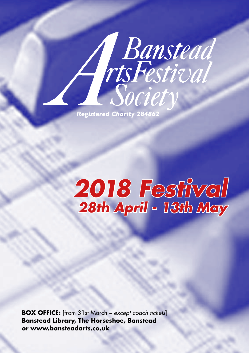**Registered Charity 284862** 

# *2018 Festival 28th April - 13th May*

A Banstead<br>Tis Festival

**BOX OFFICE:** [from 31st March *– except coach tickets*] **Banstead Library, The Horseshoe, Banstead or www.bansteadarts.co.uk**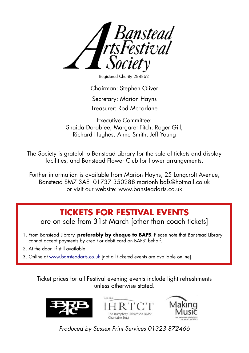

Registered Charity 284862

Chairman: Stephen Oliver

Secretary: Marion Hayns

Treasurer: Rod McFarlane

Executive Committee: Shaida Dorabiee, Maraaret Fitch, Roger Gill, Richard Hughes, Anne Smith, Jeff Young

The Society is grateful to Banstead Library for the sale of tickets and display facilities, and Banstead Flower Club for flower arrangements.

Further information is available from Marion Hayns, 25 Longcroft Avenue, Banstead SM7 3AE 01737 350288 marionh.bafs@hotmail.co.uk or visit our website: www.bansteadarts.co.uk

## **TICKETS FOR FESTIVAL EVENTS**

are on sale from 31st March [other than coach tickets]

- 1. From Banstead Library, **preferably by cheque to BAFS**. Please note that Banstead Library cannot accept payments by credit or debit card on BAFS' behalf.
- 2. At the door, if still available.
- 3. Online at www.bansteadarts.co.uk [not all ticketed events are available online].

Ticket prices for all Festival evening events include light refreshments unless otherwise stated.







*Produced by Sussex Print Services 01323 872466*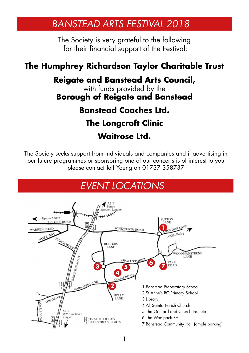## *BANSTEAD ARTS FESTIVAL 2018*

The Society is very grateful to the following for their financial support of the Festival:

## **The Humphrey Richardson Taylor Charitable Trust**

### **Reigate and Banstead Arts Council,**

with funds provided by the **Borough of Reigate and Banstead**

## **Banstead Coaches Ltd.**

# **The Longcroft Clinic**

**Waitrose Ltd.**

The Society seeks support from individuals and companies and if advertising in our future programmes or sponsoring one of our concerts is of interest to you please contact Jeff Young on 01737 358737

# *EVENT LOCATIONS*

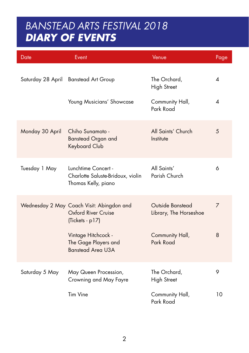## *BANSTEAD ARTS FESTIVAL 2018 DIARY OF EVENTS*

| Date              | Event                                                                               | Venue                                      | Page |
|-------------------|-------------------------------------------------------------------------------------|--------------------------------------------|------|
| Saturday 28 April | <b>Banstead Art Group</b>                                                           | The Orchard,<br>High Street                | 4    |
|                   | Young Musicians' Showcase                                                           | Community Hall,<br>Park Road               | 4    |
| Monday 30 April   | Chiho Sunamoto -<br><b>Banstead Organ and</b><br>Keyboard Club                      | All Saints' Church<br>Institute            | 5    |
| Tuesday 1 May     | Lunchtime Concert -<br>Charlotte Saluste-Bridoux, violin<br>Thomas Kelly, piano     | All Saints'<br>Parish Church               | 6    |
|                   | Wednesday 2 May Coach Visit: Abingdon and<br>Oxford River Cruise<br>(Tickets - p17) | Outside Banstead<br>Library, The Horseshoe | 7    |
|                   | Vintage Hitchcock -<br>The Gage Players and<br><b>Banstead Area U3A</b>             | Community Hall,<br>Park Road               | 8    |
| Saturday 5 May    | May Queen Procession,<br>Crowning and May Fayre                                     | The Orchard,<br><b>High Street</b>         | 9    |
|                   | <b>Tim Vine</b>                                                                     | Community Hall,<br>Park Road               | 10   |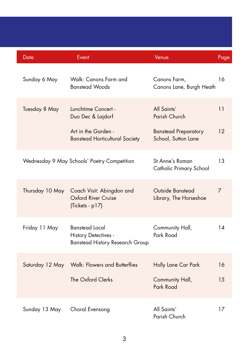|  | Date            | Event                                                                                   | Venue                                              | Page |
|--|-----------------|-----------------------------------------------------------------------------------------|----------------------------------------------------|------|
|  | Sunday 6 May    | Walk: Canons Farm and<br><b>Banstead Woods</b>                                          | Canons Farm,<br>Canons Lane, Burgh Heath           | 16   |
|  | Tuesday 8 May   | Lunchtime Concert -<br>Duo Dec & Lajdorf                                                | All Saints'<br>Parish Church                       | 11   |
|  |                 | Art in the Garden -<br><b>Banstead Horticultural Society</b>                            | <b>Banstead Preparatory</b><br>School, Sutton Lane | 12   |
|  |                 | Wednesday 9 May Schools' Poetry Competition                                             | St Anne's Roman<br>Catholic Primary School         | 13   |
|  | Thursday 10 May | Coach Visit: Abingdon and<br>Oxford River Cruise<br>(Tickets - p17)                     | Outside Banstead<br>Library, The Horseshoe         | 7    |
|  | Friday 11 May   | <b>Banstead Local</b><br>History Detectives -<br><b>Banstead History Research Group</b> | Community Hall,<br>Park Road                       | 14   |
|  | Saturday 12 May | <b>Walk: Flowers and Butterflies</b>                                                    | Holly Lane Car Park                                | 16   |
|  |                 | The Oxford Clerks                                                                       | Community Hall,<br>Park Road                       | 15   |
|  | Sunday 13 May   | Choral Evensong                                                                         | All Saints'<br>Parish Church                       | 17   |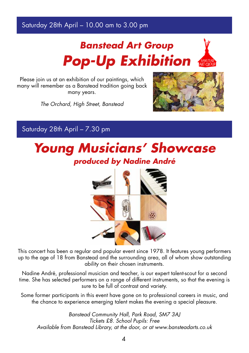### Saturday 28th April – 10.00 am to 3.00 pm

# *Banstead Art Group Pop-Up Exhibition*



Please join us at an exhibition of our paintings, which many will remember as a Banstead tradition going back many years.

*The Orchard, High Street, Banstead*



Saturday 28th April – 7.30 pm

# *Young Musicians' Showcase produced by Nadine André*



This concert has been a regular and popular event since 1978. It features young performers up to the age of 18 from Banstead and the surrounding area, all of whom show outstanding ability on their chosen instruments.

Nadine André, professional musician and teacher, is our expert talent-scout for a second time. She has selected performers on a range of different instruments, so that the evening is sure to be full of contrast and variety.

Some former participants in this event have gone on to professional careers in music, and the chance to experience emerging talent makes the evening a special pleasure.

*Banstead Community Hall, Park Road, SM7 3AJ Tickets £8. School Pupils: Free Available from Banstead Library, at the door, or at www.bansteadarts.co.uk*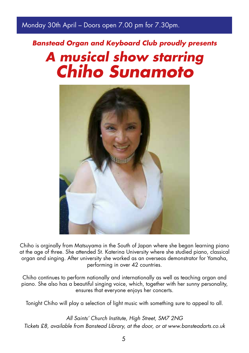### Monday 30th April – Doors open 7.00 pm for 7.30pm.

# *Banstead Organ and Keyboard Club proudly presents A musical show starring Chiho Sunamoto*



Chiho is orginally from Matsuyama in the South of Japan where she began learning piano at the age of three. She attended St. Katerina University where she studied piano, classical organ and singing. After university she worked as an overseas demonstrator for Yamaha, performing in over 42 countries.

Chiho continues to perform nationally and internationally as well as teaching organ and piano. She also has a beautiful singing voice, which, together with her sunny personality, ensures that everyone enjoys her concerts.

Tonight Chiho will play a selection of light music with something sure to appeal to all.

*All Saints' Church Institute, High Street, SM7 2NG Tickets £8, available from Banstead Library, at the door, or at www.bansteadarts.co.uk*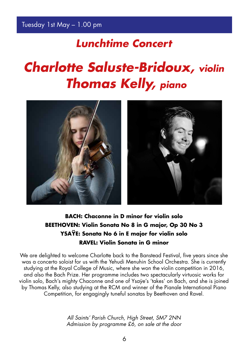## *Lunchtime Concert*

# *Charlotte Saluste-Bridoux, violin Thomas Kelly, piano*



### **BACH: Chaconne in D minor for violin solo BEETHOVEN: Violin Sonata No 8 in G major, Op 30 No 3 YSAŸE: Sonata No 6 in E major for violin solo RAVEL: Violin Sonata in G minor**

We are delighted to welcome Charlotte back to the Banstead Festival, five years since she was a concerto soloist for us with the Yehudi Menuhin School Orchestra. She is currently studying at the Royal College of Music, where she won the violin competition in 2016, and also the Bach Prize. Her programme includes two spectacularly virtuosic works for violin solo, Bach's mighty Chaconne and one of Ysaÿe's 'takes' on Bach, and she is joined by Thomas Kelly, also studying at the RCM and winner of the Pianale International Piano Competition, for engagingly tuneful sonatas by Beethoven and Ravel.

> *All Saints' Parish Church, High Street, SM7 2NN Admission by programme £6, on sale at the door*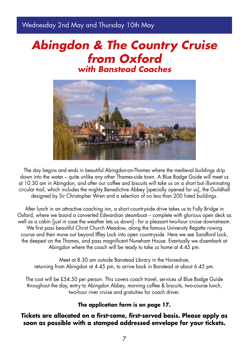Wednesday 2nd May and Thursday 10th May

## *Abingdon & The Country Cruise from Oxford with Banstead Coaches*



The day begins and ends in beautiful Abingdon-on-Thames where the medieval buildings drip down into the water – quite unlike any other Thames-side town. A Blue Badge Guide will meet us at 10.30 am in Abingdon, and after our coffee and biscuits will take us on a short but illuminating circular trail, which includes the mighty Benedictine Abbey [specially opened for us], the Guildhall designed by Sir Christopher Wren and a selection of no less than 200 listed buildings.

After lunch in an attractive coaching inn, a short countryside drive takes us to Folly Bridge in Oxford, where we board a converted Edwardian steamboat – complete with glorious open deck as well as a cabin [just in case the weather lets us down] - for a pleasant two-hour cruise downstream. We first pass beautiful Christ Church Meadow, along the famous University Regatta rowing course and then move out beyond Iffley Lock into open countryside. Here we see Sandford Lock, the deepest on the Thames, and pass magnificent Nuneham House. Eventually we disembark at Abingdon where the coach will be ready to take us home at 4.45 pm.

Meet at 8.30 am outside Banstead Library in the Horseshoe, returning from Abingdon at 4.45 pm, to arrive back in Banstead at about 6.45 pm.

The cost will be £54.50 per person. This covers coach travel, services of Blue Badge Guide throughout the day, entry to Abingdon Abbey, morning coffee & biscuits, two-course lunch, two-hour river cruise and gratuities for coach driver.

#### **The application form is on page 17.**

#### **Tickets are allocated on a first-come, first-served basis. Please apply as soon as possible with a stamped addressed envelope for your tickets.**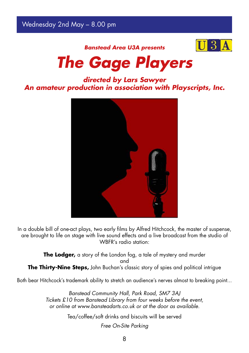Wednesday 2nd May – 8.00 pm



*Banstead Area U3A presents*

# *The Gage Players*

### *directed by Lars Sawyer An amateur production in association with Playscripts, Inc.*



In a double bill of one-act plays, two early films by Alfred Hitchcock, the master of suspense, are brought to life on stage with live sound effects and a live broadcast from the studio of WBFR's radio station:

**The Lodger,** a story of the London fog, a tale of mystery and murder and **The Thirty-Nine Steps,** John Buchan's classic story of spies and political intrigue

Both bear Hitchcock's trademark ability to stretch an audience's nerves almost to breaking point...

*Banstead Community Hall, Park Road, SM7 3AJ Tickets £10 from Banstead Library from four weeks before the event, or online at www.bansteadarts.co.uk or at the door as available.*

Tea/coffee/soft drinks and biscuits will be served

*Free On-Site Parking*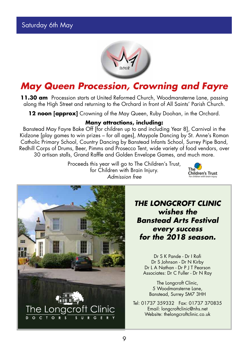

## *May Queen Procession, Crowning and Fayre*

**11.30 am** Procession starts at United Reformed Church, Woodmansterne Lane, passing along the High Street and returning to the Orchard in front of All Saints' Parish Church.

**12 noon [approx]** Crowning of the May Queen, Ruby Doohan, in the Orchard.

#### **Many attractions, including:**

Banstead May Fayre Bake Off [for children up to and including Year 8], Carnival in the Kidzone [play games to win prizes – for all ages], Maypole Dancing by St. Anne's Roman Catholic Primary School, Country Dancing by Banstead Infants School, Surrey Pipe Band, Redhill Corps of Drums, Beer, Pimms and Prosecco Tent, wide variety of food vendors, over 30 artisan stalls, Grand Raffle and Golden Envelope Games, and much more.

> Proceeds this year will go to The Children's Trust, for Children with Brain Injury. *Admission free*





*THE LONGCROFT CLINIC wishes the Banstead Arts Festival every success for the 2018 season.*

Dr S K Pande - Dr I Rafi Dr S Johnson - Dr N Kirby Dr L A Nathan - Dr P J T Pearson Associates: Dr C Fuller - Dr N Ray

The Longcroft Clinic, 5 Woodmansterne Lane, Banstead, Surrey SM7 3HH

Tel: 01737 359332 Fax: 01737 370835 Email: longcroftclinic@nhs.net Website: thelongcroftclinic.co.uk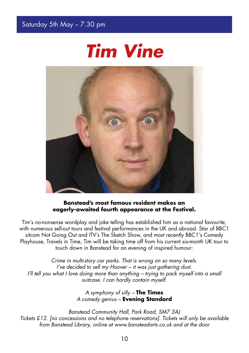



#### **Banstead's most famous resident makes an eagerly-awaited fourth appearance at the Festival.**

Tim's no-nonsense wordplay and joke telling has established him as a national favourite, with numerous sell-out tours and festival performances in the UK and abroad. Star of BBC1 sitcom Not Going Out and ITV's The Sketch Show, and most recently BBC1's Comedy Playhouse, Travels in Time, Tim will be taking time off from his current six-month UK tour to touch down in Banstead for an evening of inspired humour:

*Crime in multi-story car parks. That is wrong on so many levels. I've decided to sell my Hoover – it was just gathering dust. I'll tell you what I love doing more than anything – trying to pack myself into a small suitcase. I can hardly contain myself.*

> *A symphony of silly –* **The Times** *A comedy genius –* **Evening Standard**

*Banstead Community Hall, Park Road, SM7 3AJ Tickets £12. [no concessions and no telephone reservations]. Tickets will only be available from Banstead Library, online at www.bansteadarts.co.uk and at the door*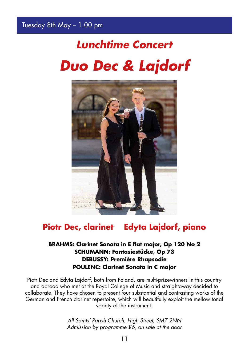# *Lunchtime Concert Duo Dec & Lajdorf*



### **Piotr Dec, clarinet Edyta Lajdorf, piano**

#### **BRAHMS: Clarinet Sonata in E flat major, Op 120 No 2 SCHUMANN: Fantasiestücke, Op 73 DEBUSSY: Première Rhapsodie POULENC: Clarinet Sonata in C major**

Piotr Dec and Edyta Lajdorf, both from Poland, are multi-prizewinners in this country and abroad who met at the Royal College of Music and straightaway decided to collaborate. They have chosen to present four substantial and contrasting works of the German and French clarinet repertoire, which will beautifully exploit the mellow tonal variety of the instrument.

> *All Saints' Parish Church, High Street, SM7 2NN Admission by programme £6, on sale at the door*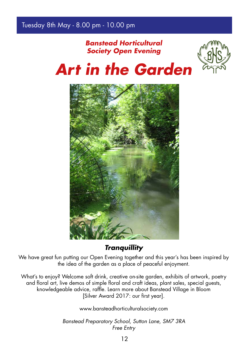### *Banstead Horticultural Society Open Evening*





*Tranquillity*

We have great fun putting our Open Evening together and this year's has been inspired by the idea of the garden as a place of peaceful enjoyment.

What's to enjoy? Welcome soft drink, creative on-site garden, exhibits of artwork, poetry and floral art, live demos of simple floral and craft ideas, plant sales, special guests, knowledgeable advice, raffle. Learn more about Banstead Village in Bloom [Silver Award 2017: our first year].

www.bansteadhorticulturalsociety.com

*Banstead Preparatory School, Sutton Lane, SM7 3RA Free Entry*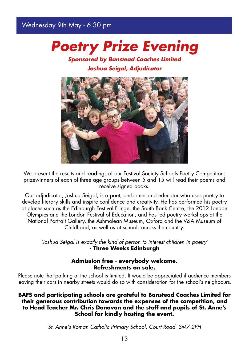### Wednesday 9th May - 6.30 pm

# *Poetry Prize Evening*

### *Sponsored by Banstead Coaches Limited Joshua Seigal, Adjudicator*



We present the results and readings of our Festival Society Schools Poetry Competition: prizewinners of each of three age groups between 5 and 15 will read their poems and receive signed books.

Our adjudicator, Joshua Seigal, is a poet, performer and educator who uses poetry to develop literary skills and inspire confidence and creativity. He has performed his poetry at places such as the Edinburgh Festival Fringe, the South Bank Centre, the 2012 London Olympics and the London Festival of Education, and has led poetry workshops at the National Portrait Gallery, the Ashmolean Museum, Oxford and the V&A Museum of Childhood, as well as at schools across the country.

*'Joshua Seigal is exactly the kind of person to interest children in poetry'*  **- Three Weeks Edinburgh**

#### **Admission free - everybody welcome. Refreshments on sale.**

Please note that parking at the school is limited. It would be appreciated if audience members leaving their cars in nearby streets would do so with consideration for the school's neighbours.

**BAFS and participating schools are grateful to Banstead Coaches Limited for their generous contribution towards the expenses of the competition, and to Head Teacher Mr. Chris Donovan and the staff and pupils of St. Anne's School for kindly hosting the event.**

*St. Anne's Roman Catholic Primary School, Court Road SM7 2PH*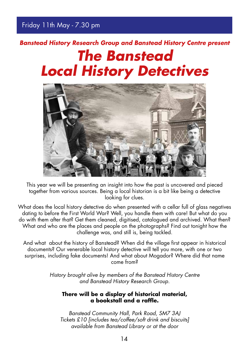# *Banstead History Research Group and Banstead History Centre present The Banstead Local History Detectives*



This year we will be presenting an insight into how the past is uncovered and pieced together from various sources. Being a local historian is a bit like being a detective looking for clues.

What does the local history detective do when presented with a cellar full of glass negatives dating to before the First World War? Well, you handle them with care! But what do you do with them after that? Get them cleaned, digitised, catalogued and archived. What then? What and who are the places and people on the photographs? Find out tonight how the challenge was, and still is, being tackled.

And what about the history of Banstead? When did the village first appear in historical documents? Our venerable local history detective will tell you more, with one or two surprises, including fake documents! And what about Mogador? Where did that name come from?

> *History brought alive by members of the Banstead History Centre and Banstead History Research Group.*

#### **There will be a display of historical material, a bookstall and a raffle.**

*Banstead Community Hall, Park Road, SM7 3AJ Tickets £10 [includes tea/coffee/soft drink and biscuits] available from Banstead Library or at the door*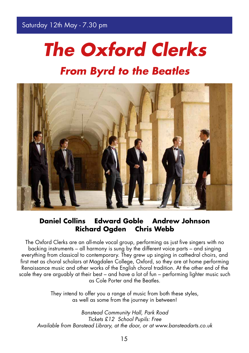# *The Oxford Clerks From Byrd to the Beatles*



### **Daniel Collins Edward Goble Andrew Johnson Richard Ogden Chris Webb**

The Oxford Clerks are an all-male vocal group, performing as just five singers with no backing instruments – all harmony is sung by the different voice parts – and singing everything from classical to contemporary. They grew up singing in cathedral choirs, and first met as choral scholars at Magdalen College, Oxford, so they are at home performing Renaissance music and other works of the English choral tradition. At the other end of the scale they are arguably at their best – and have a lot of fun – performing lighter music such as Cole Porter and the Beatles.

> They intend to offer you a range of music from both these styles, as well as some from the journey in between!

*Banstead Community Hall, Park Road Tickets £12 School Pupils: Free Available from Banstead Library, at the door, or at www.bansteadarts.co.uk*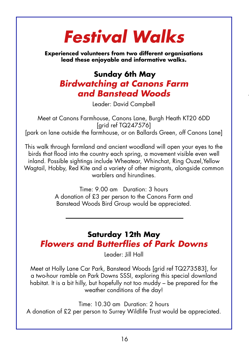# *Festival Walks*

**Experienced volunteers from two different organisations lead these enjoyable and informative walks.**

### **Sunday 6th May** *Birdwatching at Canons Farm and Banstead Woods*

Leader: David Campbell

Meet at Canons Farmhouse, Canons Lane, Burgh Heath KT20 6DD [grid ref TQ247576] [park on lane outside the farmhouse, or on Ballards Green, off Canons Lane]

This walk through farmland and ancient woodland will open your eyes to the birds that flood into the country each spring, a movement visible even well inland. Possible sightings include Wheatear, Whinchat, Ring Ouzel,Yellow Wagtail, Hobby, Red Kite and a variety of other migrants, alongside common warblers and hirundines.

> Time: 9.00 am Duration: 3 hours A donation of £3 per person to the Canons Farm and Banstead Woods Bird Group would be appreciated.

**Saturday 12th May** *Flowers and Butterflies of Park Downs*

Leader: Jill Hall

Meet at Holly Lane Car Park, Banstead Woods [grid ref TQ273583], for a two-hour ramble on Park Downs SSSI, exploring this special downland habitat. It is a bit hilly, but hopefully not too muddy – be prepared for the weather conditions of the day!

Time: 10.30 am Duration: 2 hours A donation of £2 per person to Surrey Wildlife Trust would be appreciated.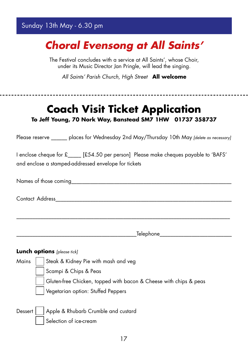### Sunday 13th May - 6.30 pm

# *Choral Evensong at All Saints'*

The Festival concludes with a service at All Saints', whose Choir, under its Music Director Jan Pringle, will lead the singing.

*All Saints' Parish Church, High Street* **All welcome**

| <b>Coach Visit Ticket Application</b><br>To Jeff Young, 70 Nork Way, Banstead SM7 1HW 01737 358737                                           |
|----------------------------------------------------------------------------------------------------------------------------------------------|
| Please reserve ______ places for Wednesday 2nd May/Thursday 10th May [delete as necessary]                                                   |
| 1 enclose cheque for £____ [£54.50 per person] Please make cheques payable to 'BAFS'<br>and enclose a stamped-addressed envelope for tickets |
|                                                                                                                                              |
|                                                                                                                                              |
|                                                                                                                                              |
| _Telephone______________                                                                                                                     |
| Lunch options [please tick]                                                                                                                  |
| Steak & Kidney Pie with mash and veg<br>Mains                                                                                                |
| Scampi & Chips & Peas                                                                                                                        |
| Gluten-free Chicken, topped with bacon & Cheese with chips & peas                                                                            |
| Vegetarian option: Stuffed Peppers                                                                                                           |
| Apple & Rhubarb Crumble and custard<br>Dessert                                                                                               |

Selection of ice-cream